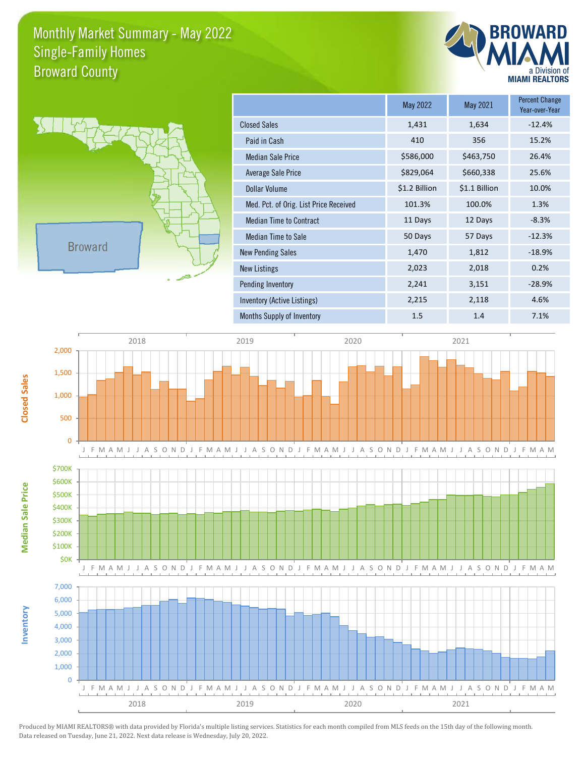## Monthly Market Summary - May 2022 Broward County Single-Family Homes





|                                        | May 2022      | May 2021      | <b>Percent Change</b><br>Year-over-Year |
|----------------------------------------|---------------|---------------|-----------------------------------------|
| <b>Closed Sales</b>                    | 1,431         | 1,634         | $-12.4%$                                |
| Paid in Cash                           | 410           | 356           | 15.2%                                   |
| <b>Median Sale Price</b>               | \$586,000     | \$463,750     | 26.4%                                   |
| Average Sale Price                     | \$829,064     | \$660,338     | 25.6%                                   |
| Dollar Volume                          | \$1.2 Billion | \$1.1 Billion | 10.0%                                   |
| Med. Pct. of Orig. List Price Received | 101.3%        | 100.0%        | 1.3%                                    |
| <b>Median Time to Contract</b>         | 11 Days       | 12 Days       | $-8.3%$                                 |
| <b>Median Time to Sale</b>             | 50 Days       | 57 Days       | $-12.3%$                                |
| <b>New Pending Sales</b>               | 1,470         | 1,812         | $-18.9%$                                |
| New Listings                           | 2,023         | 2,018         | 0.2%                                    |
| Pending Inventory                      | 2,241         | 3,151         | $-28.9%$                                |
| Inventory (Active Listings)            | 2,215         | 2,118         | 4.6%                                    |
| Months Supply of Inventory             | 1.5           | 1.4           | 7.1%                                    |



Produced by MIAMI REALTORS® with data provided by Florida's multiple listing services. Statistics for each month compiled from MLS feeds on the 15th day of the following month. Data released on Tuesday, June 21, 2022. Next data release is Wednesday, July 20, 2022.